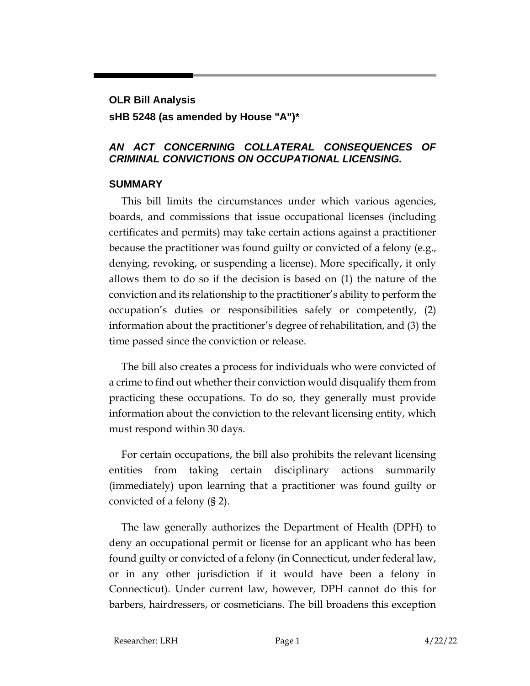# **OLR Bill Analysis**

## **sHB 5248 (as amended by House "A")\***

## *AN ACT CONCERNING COLLATERAL CONSEQUENCES OF CRIMINAL CONVICTIONS ON OCCUPATIONAL LICENSING.*

## **SUMMARY**

This bill limits the circumstances under which various agencies, boards, and commissions that issue occupational licenses (including certificates and permits) may take certain actions against a practitioner because the practitioner was found guilty or convicted of a felony (e.g., denying, revoking, or suspending a license). More specifically, it only allows them to do so if the decision is based on (1) the nature of the conviction and its relationship to the practitioner's ability to perform the occupation's duties or responsibilities safely or competently, (2) information about the practitioner's degree of rehabilitation, and (3) the time passed since the conviction or release.

The bill also creates a process for individuals who were convicted of a crime to find out whether their conviction would disqualify them from practicing these occupations. To do so, they generally must provide information about the conviction to the relevant licensing entity, which must respond within 30 days.

For certain occupations, the bill also prohibits the relevant licensing entities from taking certain disciplinary actions summarily (immediately) upon learning that a practitioner was found guilty or convicted of a felony (§ 2).

The law generally authorizes the Department of Health (DPH) to deny an occupational permit or license for an applicant who has been found guilty or convicted of a felony (in Connecticut, under federal law, or in any other jurisdiction if it would have been a felony in Connecticut). Under current law, however, DPH cannot do this for barbers, hairdressers, or cosmeticians. The bill broadens this exception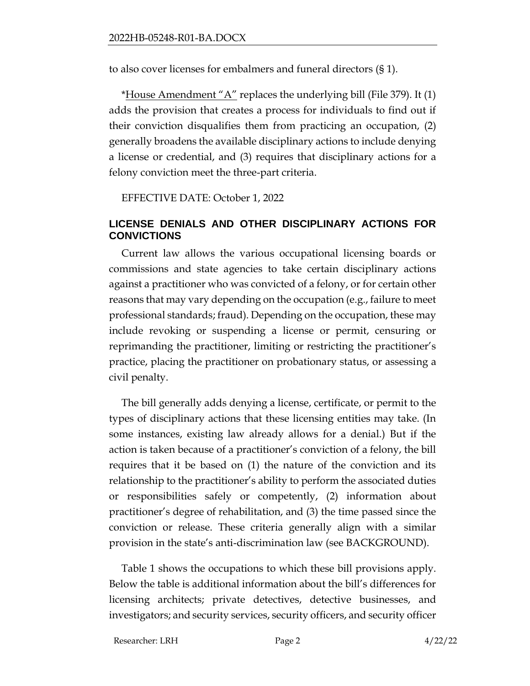to also cover licenses for embalmers and funeral directors (§ 1).

\*House  $A$ mendment " $A$ " replaces the underlying bill (File 379). It (1) adds the provision that creates a process for individuals to find out if their conviction disqualifies them from practicing an occupation, (2) generally broadens the available disciplinary actions to include denying a license or credential, and (3) requires that disciplinary actions for a felony conviction meet the three-part criteria.

EFFECTIVE DATE: October 1, 2022

## **LICENSE DENIALS AND OTHER DISCIPLINARY ACTIONS FOR CONVICTIONS**

Current law allows the various occupational licensing boards or commissions and state agencies to take certain disciplinary actions against a practitioner who was convicted of a felony, or for certain other reasons that may vary depending on the occupation (e.g., failure to meet professional standards; fraud). Depending on the occupation, these may include revoking or suspending a license or permit, censuring or reprimanding the practitioner, limiting or restricting the practitioner's practice, placing the practitioner on probationary status, or assessing a civil penalty.

The bill generally adds denying a license, certificate, or permit to the types of disciplinary actions that these licensing entities may take. (In some instances, existing law already allows for a denial.) But if the action is taken because of a practitioner's conviction of a felony, the bill requires that it be based on (1) the nature of the conviction and its relationship to the practitioner's ability to perform the associated duties or responsibilities safely or competently, (2) information about practitioner's degree of rehabilitation, and (3) the time passed since the conviction or release. These criteria generally align with a similar provision in the state's anti-discrimination law (see BACKGROUND).

Table 1 shows the occupations to which these bill provisions apply. Below the table is additional information about the bill's differences for licensing architects; private detectives, detective businesses, and investigators; and security services, security officers, and security officer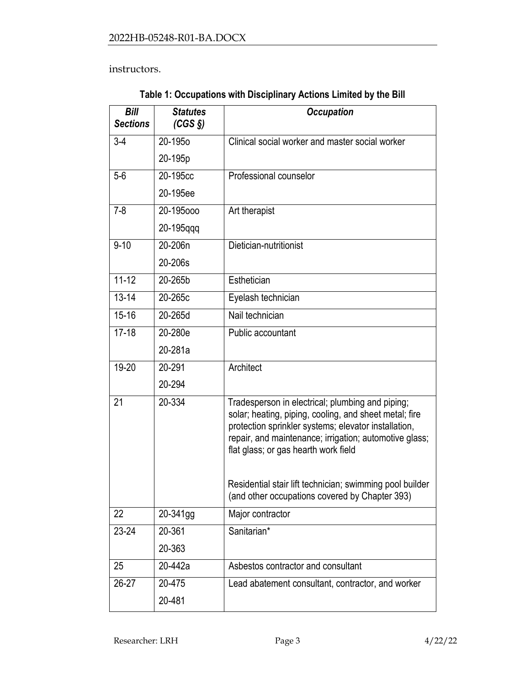instructors.

| <b>Bill</b><br><b>Sections</b> | <b>Statutes</b><br>$(CGS \S)$ | <b>Occupation</b>                                                                                                                                                                                                                                                                                                                |
|--------------------------------|-------------------------------|----------------------------------------------------------------------------------------------------------------------------------------------------------------------------------------------------------------------------------------------------------------------------------------------------------------------------------|
| $3-4$                          | 20-195 <sub>0</sub>           | Clinical social worker and master social worker                                                                                                                                                                                                                                                                                  |
|                                | 20-195p                       |                                                                                                                                                                                                                                                                                                                                  |
| $5-6$                          | 20-195cc                      | Professional counselor                                                                                                                                                                                                                                                                                                           |
|                                | 20-195ee                      |                                                                                                                                                                                                                                                                                                                                  |
| $7 - 8$                        | 20-195000                     | Art therapist                                                                                                                                                                                                                                                                                                                    |
|                                | 20-195qqq                     |                                                                                                                                                                                                                                                                                                                                  |
| $9 - 10$                       | 20-206n                       | Dietician-nutritionist                                                                                                                                                                                                                                                                                                           |
|                                | 20-206s                       |                                                                                                                                                                                                                                                                                                                                  |
| $11 - 12$                      | 20-265b                       | Esthetician                                                                                                                                                                                                                                                                                                                      |
| $13 - 14$                      | 20-265c                       | Eyelash technician                                                                                                                                                                                                                                                                                                               |
| $15 - 16$                      | 20-265d                       | Nail technician                                                                                                                                                                                                                                                                                                                  |
| $17 - 18$                      | 20-280e                       | Public accountant                                                                                                                                                                                                                                                                                                                |
|                                | 20-281a                       |                                                                                                                                                                                                                                                                                                                                  |
| 19-20                          | 20-291                        | Architect                                                                                                                                                                                                                                                                                                                        |
|                                | 20-294                        |                                                                                                                                                                                                                                                                                                                                  |
| 21                             | 20-334                        | Tradesperson in electrical; plumbing and piping;<br>solar; heating, piping, cooling, and sheet metal; fire<br>protection sprinkler systems; elevator installation,<br>repair, and maintenance; irrigation; automotive glass;<br>flat glass; or gas hearth work field<br>Residential stair lift technician; swimming pool builder |
|                                |                               | (and other occupations covered by Chapter 393)                                                                                                                                                                                                                                                                                   |
| 22                             | 20-341gg                      | Major contractor                                                                                                                                                                                                                                                                                                                 |
| $23 - 24$                      | 20-361                        | Sanitarian*                                                                                                                                                                                                                                                                                                                      |
|                                | 20-363                        |                                                                                                                                                                                                                                                                                                                                  |
| 25                             | 20-442a                       | Asbestos contractor and consultant                                                                                                                                                                                                                                                                                               |
| $26-27$                        | 20-475                        | Lead abatement consultant, contractor, and worker                                                                                                                                                                                                                                                                                |
|                                | 20-481                        |                                                                                                                                                                                                                                                                                                                                  |

**Table 1: Occupations with Disciplinary Actions Limited by the Bill**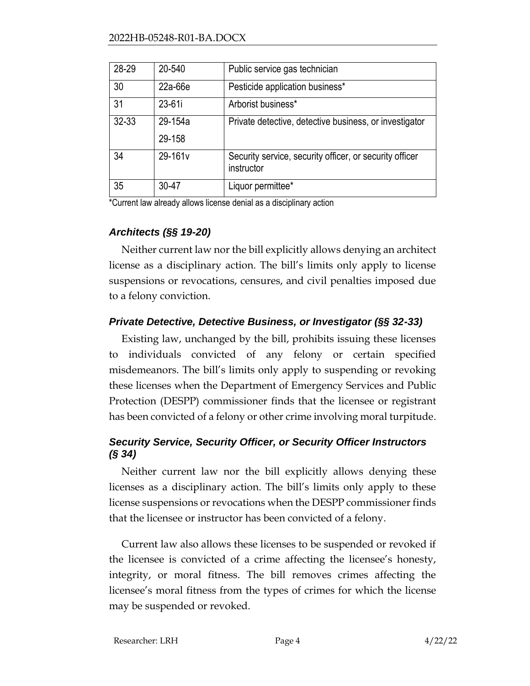| 28-29 | 20-540     | Public service gas technician                                         |
|-------|------------|-----------------------------------------------------------------------|
| 30    | 22a-66e    | Pesticide application business*                                       |
| 31    | $23 - 61i$ | Arborist business*                                                    |
| 32-33 | 29-154a    | Private detective, detective business, or investigator                |
|       | 29-158     |                                                                       |
| 34    | 29-161v    | Security service, security officer, or security officer<br>instructor |
| 35    | 30-47      | Liquor permittee*                                                     |

\*Current law already allows license denial as a disciplinary action

# *Architects (§§ 19-20)*

Neither current law nor the bill explicitly allows denying an architect license as a disciplinary action. The bill's limits only apply to license suspensions or revocations, censures, and civil penalties imposed due to a felony conviction.

# *Private Detective, Detective Business, or Investigator (§§ 32-33)*

Existing law, unchanged by the bill, prohibits issuing these licenses to individuals convicted of any felony or certain specified misdemeanors. The bill's limits only apply to suspending or revoking these licenses when the Department of Emergency Services and Public Protection (DESPP) commissioner finds that the licensee or registrant has been convicted of a felony or other crime involving moral turpitude.

# *Security Service, Security Officer, or Security Officer Instructors (§ 34)*

Neither current law nor the bill explicitly allows denying these licenses as a disciplinary action. The bill's limits only apply to these license suspensions or revocations when the DESPP commissioner finds that the licensee or instructor has been convicted of a felony.

Current law also allows these licenses to be suspended or revoked if the licensee is convicted of a crime affecting the licensee's honesty, integrity, or moral fitness. The bill removes crimes affecting the licensee's moral fitness from the types of crimes for which the license may be suspended or revoked.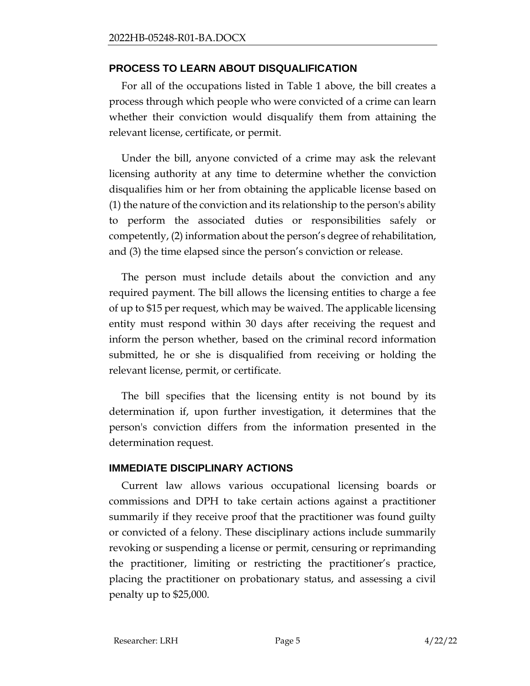## **PROCESS TO LEARN ABOUT DISQUALIFICATION**

For all of the occupations listed in Table 1 above, the bill creates a process through which people who were convicted of a crime can learn whether their conviction would disqualify them from attaining the relevant license, certificate, or permit.

Under the bill, anyone convicted of a crime may ask the relevant licensing authority at any time to determine whether the conviction disqualifies him or her from obtaining the applicable license based on (1) the nature of the conviction and its relationship to the person's ability to perform the associated duties or responsibilities safely or competently, (2) information about the person's degree of rehabilitation, and (3) the time elapsed since the person's conviction or release.

The person must include details about the conviction and any required payment. The bill allows the licensing entities to charge a fee of up to \$15 per request, which may be waived. The applicable licensing entity must respond within 30 days after receiving the request and inform the person whether, based on the criminal record information submitted, he or she is disqualified from receiving or holding the relevant license, permit, or certificate.

The bill specifies that the licensing entity is not bound by its determination if, upon further investigation, it determines that the person's conviction differs from the information presented in the determination request.

#### **IMMEDIATE DISCIPLINARY ACTIONS**

Current law allows various occupational licensing boards or commissions and DPH to take certain actions against a practitioner summarily if they receive proof that the practitioner was found guilty or convicted of a felony. These disciplinary actions include summarily revoking or suspending a license or permit, censuring or reprimanding the practitioner, limiting or restricting the practitioner's practice, placing the practitioner on probationary status, and assessing a civil penalty up to \$25,000.